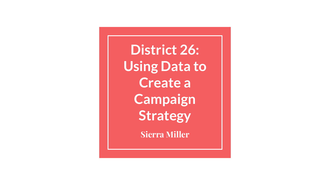**District 26: Using Data to Create a Campaign Strategy**

**Sierra Miller**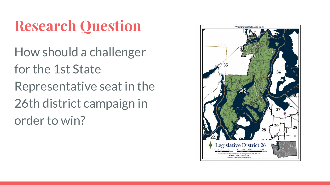# **Research Question**

How should a challenger for the 1st State Representative seat in the 26th district campaign in order to win?

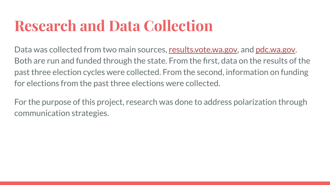## **Research and Data Collection**

Data was collected from two main sources, [results.vote.wa.gov,](https://results.vote.wa.gov/results/20161108/default.htm) and [pdc.wa.gov](https://www.pdc.wa.gov/home). Both are run and funded through the state. From the first, data on the results of the past three election cycles were collected. From the second, information on funding for elections from the past three elections were collected.

For the purpose of this project, research was done to address polarization through communication strategies.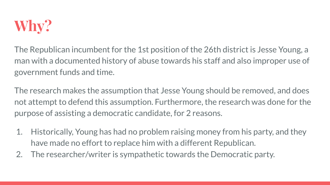

The Republican incumbent for the 1st position of the 26th district is Jesse Young, a man with a documented history of abuse towards his staff and also improper use of government funds and time.

The research makes the assumption that Jesse Young should be removed, and does not attempt to defend this assumption. Furthermore, the research was done for the purpose of assisting a democratic candidate, for 2 reasons.

- 1. Historically, Young has had no problem raising money from his party, and they have made no effort to replace him with a different Republican.
- 2. The researcher/writer is sympathetic towards the Democratic party.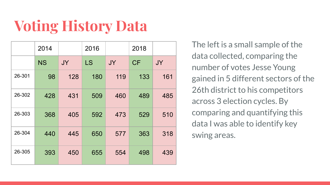# **Voting History Data**

|        | 2014      |     | 2016 |     | 2018 |           |
|--------|-----------|-----|------|-----|------|-----------|
|        | <b>NS</b> | JY  | LS   | JY  | CF   | <b>JY</b> |
| 26-301 | 98        | 128 | 180  | 119 | 133  | 161       |
| 26-302 | 428       | 431 | 509  | 460 | 489  | 485       |
| 26-303 | 368       | 405 | 592  | 473 | 529  | 510       |
| 26-304 | 440       | 445 | 650  | 577 | 363  | 318       |
| 26-305 | 393       | 450 | 655  | 554 | 498  | 439       |

The left is a small sample of the data collected, comparing the number of votes Jesse Young gained in 5 different sectors of the 26th district to his competitors across 3 election cycles. By comparing and quantifying this data I was able to identify key swing areas.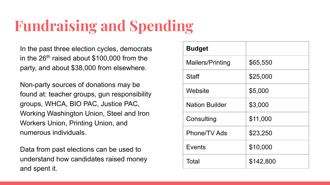## **Fundraising and Spending**

In the past three election cycles, democrats in the  $26<sup>th</sup>$  raised about \$100,000 from the party, and about \$38,000 from elsewhere.

Non-party sources of donations may be found at: teacher groups, gun responsibility groups, WHCA, BIO PAC, Justice PAC, Working Washington Union, Steel and Iron Workers Union, Printing Union, and numerous individuals.

Data from past elections can be used to understand how candidates raised money and spent it.

| <b>Budget</b>         |           |  |  |
|-----------------------|-----------|--|--|
| Mailers/Printing      | \$65,550  |  |  |
| Staff                 | \$25,000  |  |  |
| Website               | \$5,000   |  |  |
| <b>Nation Builder</b> | \$3,000   |  |  |
| Consulting            | \$11,000  |  |  |
| Phone/TV Ads          | \$23,250  |  |  |
| Events                | \$10,000  |  |  |
| Total                 | \$142,800 |  |  |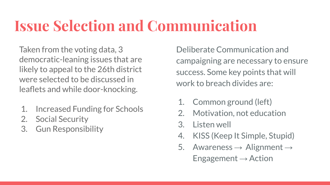#### **Issue Selection and Communication**

Taken from the voting data, 3 democratic-leaning issues that are likely to appeal to the 26th district were selected to be discussed in leaflets and while door-knocking.

- 1. Increased Funding for Schools
- 2. Social Security
- 3. Gun Responsibility

Deliberate Communication and campaigning are necessary to ensure success. Some key points that will work to breach divides are:

- 1. Common ground (left)
- 2. Motivation, not education
- 3. Listen well
- 4. KISS (Keep It Simple, Stupid)
- 5. Awareness  $\rightarrow$  Alignment  $\rightarrow$ Engagement  $\rightarrow$  Action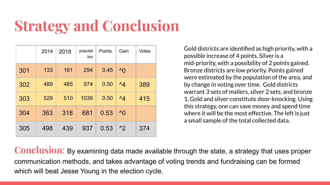## **Strategy and Conclusion**

|     | 2014 | 2018 | populat<br>ion | Points | Gain         | Votes |
|-----|------|------|----------------|--------|--------------|-------|
| 301 | 133  | 161  | 294            | 0.45   | $^{\wedge}$  |       |
| 302 | 489  | 485  | 974            | 0.50   | $^{\wedge}4$ | 389   |
| 303 | 529  | 510  | 1039           | 0.50   | $^{\wedge}4$ | 415   |
| 304 | 363  | 318  | 681            | 0.53   | $^{\wedge}0$ |       |
| 305 | 498  | 439  | 937            | 0.53   | $^{\prime}2$ | 374   |

Gold districts are identified as high priority, with a possible increase of 4 points. Silver is a mid-priority, with a possibility of 2 points gained. Bronze districts are low priority. Points gained were estimated by the population of the area, and by change in voting over time. Gold districts warrant 3 sets of mailers, silver 2 sets, and bronze 1. Gold and silver constitute door-knocking. Using this strategy, one can save money and spend time where it will be the most effective. The left is just a small sample of the total collected data.

**Conclusion**: By examining data made available through the state, a strategy that uses proper communication methods, and takes advantage of voting trends and fundraising can be formed which will beat Jesse Young in the election cycle.